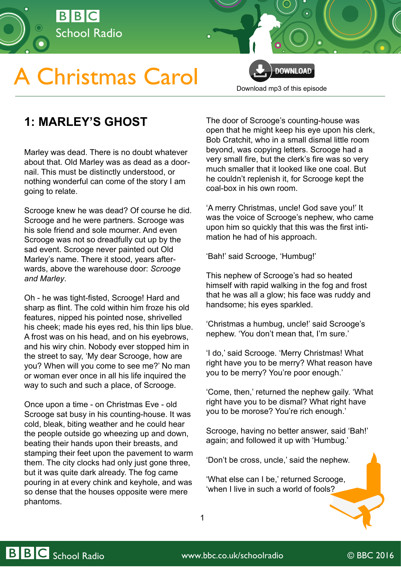

# **A Christmas Carol**



[Download mp3 of this episode](http://open.live.bbc.co.uk/mediaselector/5/redir/version/2.0/mediaset/audio-nondrm-download/proto/http/vpid/p02qgkwc.mp3)

# **1: MARLEY'S GHOST**

Marley was dead. There is no doubt whatever about that. Old Marley was as dead as a doornail. This must be distinctly understood, or nothing wonderful can come of the story I am going to relate.

Scrooge knew he was dead? Of course he did. Scrooge and he were partners. Scrooge was his sole friend and sole mourner. And even Scrooge was not so dreadfully cut up by the sad event. Scrooge never painted out Old Marley's name. There it stood, years afterwards, above the warehouse door: *Scrooge and Marley*.

Oh - he was tight-fisted, Scrooge! Hard and sharp as flint. The cold within him froze his old features, nipped his pointed nose, shrivelled his cheek; made his eyes red, his thin lips blue. A frost was on his head, and on his eyebrows, and his wiry chin. Nobody ever stopped him in the street to say, 'My dear Scrooge, how are you? When will you come to see me?' No man or woman ever once in all his life inquired the way to such and such a place, of Scrooge.

Once upon a time - on Christmas Eve - old Scrooge sat busy in his counting-house. It was cold, bleak, biting weather and he could hear the people outside go wheezing up and down, beating their hands upon their breasts, and stamping their feet upon the pavement to warm them. The city clocks had only just gone three, but it was quite dark already. The fog came pouring in at every chink and keyhole, and was so dense that the houses opposite were mere phantoms.

The door of Scrooge's counting-house was open that he might keep his eye upon his clerk, Bob Cratchit, who in a small dismal little room beyond, was copying letters. Scrooge had a very small fire, but the clerk's fire was so very much smaller that it looked like one coal. But he couldn't replenish it, for Scrooge kept the coal-box in his own room.

'A merry Christmas, uncle! God save you!' It was the voice of Scrooge's nephew, who came upon him so quickly that this was the first intimation he had of his approach.

'Bah!' said Scrooge, 'Humbug!'

This nephew of Scrooge's had so heated himself with rapid walking in the fog and frost that he was all a glow; his face was ruddy and handsome; his eyes sparkled.

'Christmas a humbug, uncle!' said Scrooge's nephew. 'You don't mean that, I'm sure.'

'I do,' said Scrooge. 'Merry Christmas! What right have you to be merry? What reason have you to be merry? You're poor enough.'

'Come, then,' returned the nephew gaily. 'What right have you to be dismal? What right have you to be morose? You're rich enough.'

Scrooge, having no better answer, said 'Bah!' again; and followed it up with 'Humbug.'

'Don't be cross, uncle,' said the nephew.

'What else can I be,' returned Scrooge, 'when I live in such a world of fools?

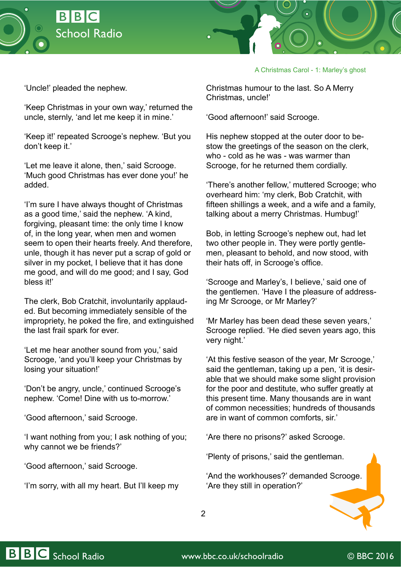



## A Christmas Carol - 1: Marley's ghost

'Uncle!' pleaded the nephew.

'Keep Christmas in your own way,' returned the uncle, sternly, 'and let me keep it in mine.'

'Keep it!' repeated Scrooge's nephew. 'But you don't keep it.'

'Let me leave it alone, then,' said Scrooge. 'Much good Christmas has ever done you!' he added.

'I'm sure I have always thought of Christmas as a good time,' said the nephew. 'A kind, forgiving, pleasant time: the only time I know of, in the long year, when men and women seem to open their hearts freely. And therefore, unle, though it has never put a scrap of gold or silver in my pocket, I believe that it has done me good, and will do me good; and I say, God bless it!'

The clerk, Bob Cratchit, involuntarily applauded. But becoming immediately sensible of the impropriety, he poked the fire, and extinguished the last frail spark for ever.

'Let me hear another sound from you,' said Scrooge, 'and you'll keep your Christmas by losing your situation!'

'Don't be angry, uncle,' continued Scrooge's nephew. 'Come! Dine with us to-morrow.'

'Good afternoon,' said Scrooge.

'I want nothing from you; I ask nothing of you; why cannot we be friends?'

'Good afternoon,' said Scrooge.

'I'm sorry, with all my heart. But I'll keep my

Christmas humour to the last. So A Merry Christmas, uncle!'

'Good afternoon!' said Scrooge.

His nephew stopped at the outer door to bestow the greetings of the season on the clerk, who - cold as he was - was warmer than Scrooge, for he returned them cordially.

'There's another fellow,' muttered Scrooge; who overheard him: 'my clerk, Bob Cratchit, with fifteen shillings a week, and a wife and a family, talking about a merry Christmas. Humbug!'

Bob, in letting Scrooge's nephew out, had let two other people in. They were portly gentlemen, pleasant to behold, and now stood, with their hats off, in Scrooge's office.

'Scrooge and Marley's, I believe,' said one of the gentlemen. 'Have I the pleasure of addressing Mr Scrooge, or Mr Marley?'

'Mr Marley has been dead these seven years,' Scrooge replied. 'He died seven years ago, this very night.'

'At this festive season of the year, Mr Scrooge,' said the gentleman, taking up a pen, 'it is desirable that we should make some slight provision for the poor and destitute, who suffer greatly at this present time. Many thousands are in want of common necessities; hundreds of thousands are in want of common comforts, sir.'

'Are there no prisons?' asked Scrooge.

'Plenty of prisons,' said the gentleman.

'And the workhouses?' demanded Scrooge. 'Are they still in operation?'

2

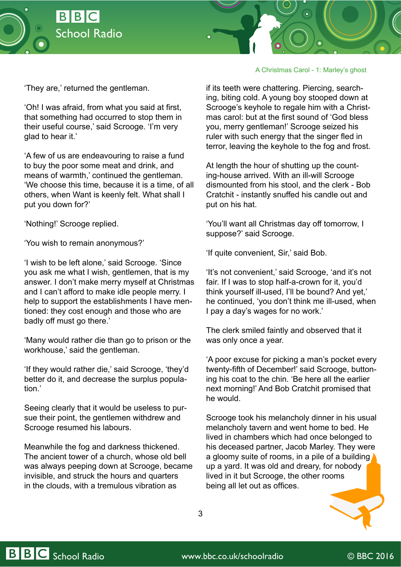



### A Christmas Carol - 1: Marley's ghost

'They are,' returned the gentleman.

'Oh! I was afraid, from what you said at first, that something had occurred to stop them in their useful course,' said Scrooge. 'I'm very glad to hear it.'

'A few of us are endeavouring to raise a fund to buy the poor some meat and drink, and means of warmth,' continued the gentleman. 'We choose this time, because it is a time, of all others, when Want is keenly felt. What shall I put you down for?'

'Nothing!' Scrooge replied.

'You wish to remain anonymous?'

'I wish to be left alone,' said Scrooge. 'Since you ask me what I wish, gentlemen, that is my answer. I don't make merry myself at Christmas and I can't afford to make idle people merry. I help to support the establishments I have mentioned: they cost enough and those who are badly off must go there.'

'Many would rather die than go to prison or the workhouse,' said the gentleman.

'If they would rather die,' said Scrooge, 'they'd better do it, and decrease the surplus population.'

Seeing clearly that it would be useless to pursue their point, the gentlemen withdrew and Scrooge resumed his labours.

Meanwhile the fog and darkness thickened. The ancient tower of a church, whose old bell was always peeping down at Scrooge, became invisible, and struck the hours and quarters in the clouds, with a tremulous vibration as

if its teeth were chattering. Piercing, searching, biting cold. A young boy stooped down at Scrooge's keyhole to regale him with a Christmas carol: but at the first sound of 'God bless you, merry gentleman!' Scrooge seized his ruler with such energy that the singer fled in terror, leaving the keyhole to the fog and frost.

At length the hour of shutting up the counting-house arrived. With an ill-will Scrooge dismounted from his stool, and the clerk - Bob Cratchit - instantly snuffed his candle out and put on his hat.

'You'll want all Christmas day off tomorrow, I suppose?' said Scrooge.

'If quite convenient, Sir,' said Bob.

'It's not convenient,' said Scrooge, 'and it's not fair. If I was to stop half-a-crown for it, you'd think yourself ill-used, I'll be bound? And yet,' he continued, 'you don't think me ill-used, when I pay a day's wages for no work.'

The clerk smiled faintly and observed that it was only once a year.

'A poor excuse for picking a man's pocket every twenty-fifth of December!' said Scrooge, buttoning his coat to the chin. 'Be here all the earlier next morning!' And Bob Cratchit promised that he would.

Scrooge took his melancholy dinner in his usual melancholy tavern and went home to bed. He lived in chambers which had once belonged to his deceased partner, Jacob Marley. They were a gloomy suite of rooms, in a pile of a building up a yard. It was old and dreary, for nobody lived in it but Scrooge, the other rooms being all let out as offices.

3